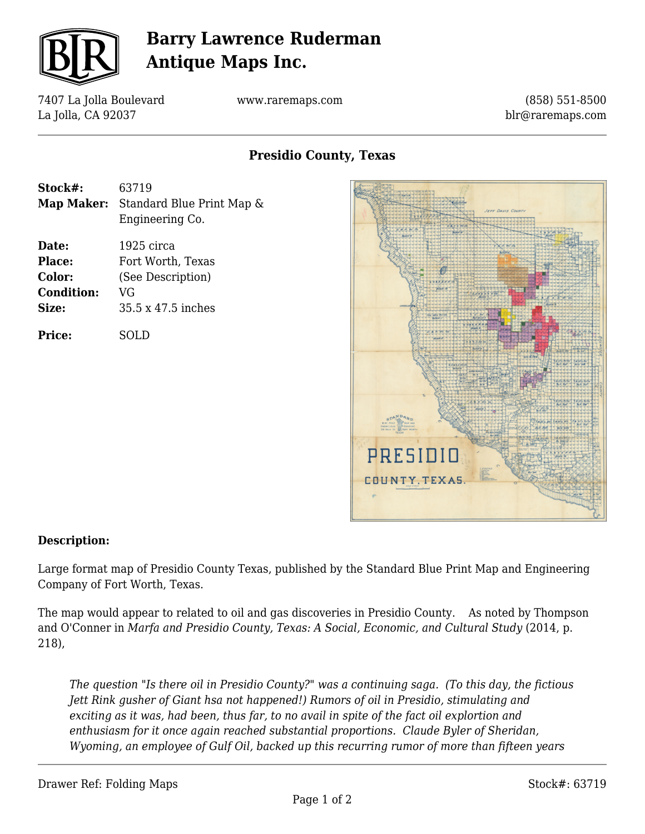

# **Barry Lawrence Ruderman Antique Maps Inc.**

7407 La Jolla Boulevard La Jolla, CA 92037

www.raremaps.com

(858) 551-8500 blr@raremaps.com

## **Presidio County, Texas**

| Stock#:              | 63719                                                   |
|----------------------|---------------------------------------------------------|
|                      | Map Maker: Standard Blue Print Map &<br>Engineering Co. |
| Date:                | 1925 circa                                              |
| Place:               | Fort Worth, Texas                                       |
| Color:               | (See Description)                                       |
| $\sim$ $\sim$ $\sim$ |                                                         |

**Condition:** VG **Size:** 35.5 x 47.5 inches

**Price:** SOLD



#### **Description:**

Large format map of Presidio County Texas, published by the Standard Blue Print Map and Engineering Company of Fort Worth, Texas.

The map would appear to related to oil and gas discoveries in Presidio County. As noted by Thompson and O'Conner in *Marfa and Presidio County, Texas: A Social, Economic, and Cultural Study* (2014, p. 218),

*The question "Is there oil in Presidio County?" was a continuing saga. (To this day, the fictious Jett Rink gusher of Giant hsa not happened!) Rumors of oil in Presidio, stimulating and exciting as it was, had been, thus far, to no avail in spite of the fact oil explortion and enthusiasm for it once again reached substantial proportions. Claude Byler of Sheridan, Wyoming, an employee of Gulf Oil, backed up this recurring rumor of more than fifteen years*